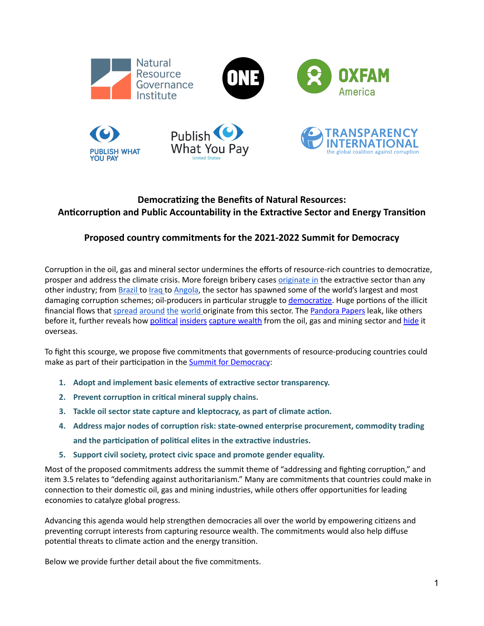

# **Democratizing the Benefits of Natural Resources: Anticorruption and Public Accountability in the Extractive Sector and Energy Transition**

## **Proposed country commitments for the 2021-2022 Summit for Democracy**

Corruption in the oil, gas and mineral sector undermines the efforts of resource-rich countries to democratize, prosper and address the climate crisis. More foreign bribery cases originate in the extractive sector than any other industry; from **[Brazil t](https://www.theguardian.com/world/2017/jun/01/brazil-operation-car-wash-is-this-the-biggest-corruption-scandal-in-history)o [Iraq](https://www.reuters.com/article/us-britain-unaoil-iraq/former-unaoil-executive-sentenced-over-1-7-billion-iraq-bribery-plot-idUSKBN26T2V8) to [Angola](https://www.theguardian.com/world/2020/jan/19/angola-state-oil-company-sonangol-isabel-dos-santos-investigation)**, the sector has spawned some of the world's largest and most damaging corruption schemes; oil-producers in particular struggle to [democratize](https://press.princeton.edu/books/paperback/9780691159638/the-oil-curse). Huge portions of the illicit financial flows that [spread](https://www.justice.gov/opa/pr/department-justice-seeks-recover-over-100-million-obtained-corruption-nigerian-oil-industry) [around](https://www.bbc.com/news/world-africa-58001750) [the](https://www.justice.gov/opa/pr/department-justice-seeks-forfeiture-34-million-bribe-payments-republic-chad-s-former) [world o](https://resourcegovernance.org/blog/brazzaville-miami-national-oil-company-corruption-global-implications)riginate from this sector. The [Pandora Papers](https://www.washingtonpost.com/business/interactive/2021/pandora-papers-offshore-finance/) leak, like others before it, further reveals how [political](https://projects.icij.org/investigations/pandora-papers/power-players/en/player/denis-sassou-nguesso) [insiders](https://projects.icij.org/investigations/pandora-papers/power-players/en/player/sebastian-pinera) [capture wealth](https://www.occrp.org/en/the-pandora-papers/belarusian-elites-golden-deal-with-zimbabwe) from the oil, gas and mining sector and [hide](https://www.theguardian.com/news/2021/oct/05/money-from-worlds-biggest-bribe-scandal-invested-in-uk-property) it overseas.

To fight this scourge, we propose five commitments that governments of resource-producing countries could make as part of their participation in the **Summit for Democracy**:

- **1. Adopt and implement basic elements of extractive sector transparency.**
- **2. Prevent corruption in critical mineral supply chains.**
- **3. Tackle oil sector state capture and kleptocracy, as part of climate action.**
- **4. Address major nodes of corruption risk: state-owned enterprise procurement, commodity trading and the participation of political elites in the extractive industries.**
- **5. Support civil society, protect civic space and promote gender equality.**

Most of the proposed commitments address the summit theme of "addressing and fighting corruption," and item 3.5 relates to "defending against authoritarianism." Many are commitments that countries could make in connection to their domestic oil, gas and mining industries, while others offer opportunities for leading economies to catalyze global progress.

Advancing this agenda would help strengthen democracies all over the world by empowering citizens and preventing corrupt interests from capturing resource wealth. The commitments would also help diffuse potential threats to climate action and the energy transition.

Below we provide further detail about the five commitments.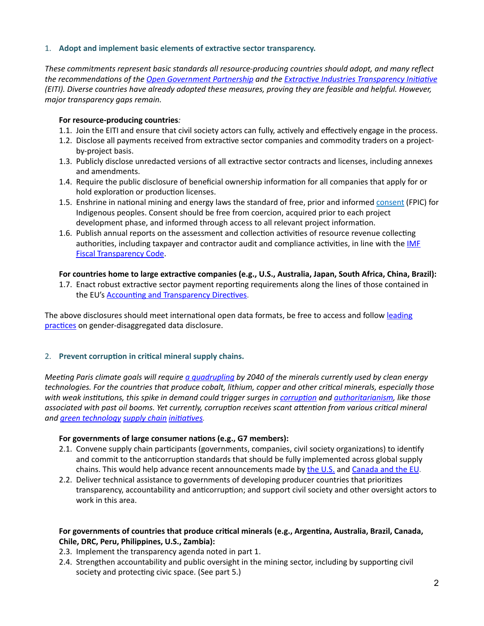## 1. **Adopt and implement basic elements of extractive sector transparency.**

*These commitments represent basic standards all resource-producing countries should adopt, and many reflect the recommendations of the [Open Government Partnership](https://www.opengovpartnership.org/policy-area/extractive-industries/#recommendations) and the [Extractive Industries Transparency Initiative](https://eiti.org/standard/overview#:~:text=The%2520global%2520standard%2520for%2520the,oil%252C%2520gas%2520and%2520mineral%2520resources.&text=This%2520ranges%2520from%2520how%2520the,the%2520citizens%2520and%2520the%2520economy.) (EITI). Diverse countries have already adopted these measures, proving they are feasible and helpful. However, major transparency gaps remain.*

## **For resource-producing countries***:*

- 1.1. Join the EITI and ensure that civil society actors can fully, actively and effectively engage in the process.
- 1.2. Disclose all payments received from extractive sector companies and commodity traders on a projectby-project basis.
- 1.3. Publicly disclose unredacted versions of all extractive sector contracts and licenses, including annexes and amendments.
- 1.4. Require the public disclosure of beneficial ownership information for all companies that apply for or hold exploration or production licenses.
- 1.5. Enshrine in national mining and energy laws the standard of free, prior and informed [consent](https://www.oxfam.org/en/research/community-consent-index-2015) (FPIC) for Indigenous peoples. Consent should be free from coercion, acquired prior to each project development phase, and informed through access to all relevant project information.
- 1.6. Publish annual reports on the assessment and collection activities of resource revenue collecting authorities, including taxpayer and contractor audit and compliance activities, in line with the IMF [Fiscal Transparency Code.](https://www.imf.org/en/Topics/fiscal-policies/fiscal-transparency)

#### **For countries home to large extractive companies (e.g., U.S., Australia, Japan, South Africa, China, Brazil):**

1.7. Enact robust extractive sector payment reporting requirements along the lines of those contained in the EU's **Accounting and Transparency Directives**.

The above disclosures should meet international open data formats, be free to access and follow leading [practices](https://resourcegovernance.org/sites/default/files/documents/ogp_gender_report_2021_nrgi-wri.pdf) on gender-disaggregated data disclosure.

## 2. **Prevent corruption in critical mineral supply chains.**

*Meeting Paris climate goals will require [a quadrupling](https://www.iea.org/reports/the-role-of-critical-minerals-in-clean-energy-transitions/executive-summary) by 2040 of the minerals currently used by clean energy technologies. For the countries that produce cobalt, lithium, copper and other critical minerals, especially those with weak institutions, this spike in demand could trigger surges in [corruption](https://www.amazon.com/Crude-Intentions-Corruption-Contaminates-World/dp/0190940700) and [authoritarianism,](https://press.princeton.edu/books/paperback/9780691159638/the-oil-curse) like those associated with past oil booms. Yet currently, corruption receives scant attention from various critical mineral and [green technology](https://ec.europa.eu/commission/presscorner/detail/en/ip_20_2312) [supply chain](https://www.oecd.org/corporate/mne/mining.htm) [initiatives.](https://www.weforum.org/global-battery-alliance)* 

## **For governments of large consumer nations (e.g., G7 members):**

- 2.1. Convene supply chain participants (governments, companies, civil society organizations) to identify and commit to the anticorruption standards that should be fully implemented across global supply chains. This would help advance recent announcements made by [the U.S.](https://www.whitehouse.gov/briefing-room/statements-releases/2021/06/08/fact-sheet-biden-harris-administration-announces-supply-chain-disruptions-task-force-to-address-short-term-supply-chain-discontinuities/) and [Canada and the EU](https://www.metaltechnews.com/story/2021/06/16/tech-metals/canada-eu-forge-critical-minerals-alliance/591.html).
- 2.2. Deliver technical assistance to governments of developing producer countries that prioritizes transparency, accountability and anticorruption; and support civil society and other oversight actors to work in this area.

## **For governments of countries that produce critical minerals (e.g., Argentina, Australia, Brazil, Canada, Chile, DRC, Peru, Philippines, U.S., Zambia):**

- 2.3. Implement the transparency agenda noted in part 1.
- 2.4. Strengthen accountability and public oversight in the mining sector, including by supporting civil society and protecting civic space. (See part 5.)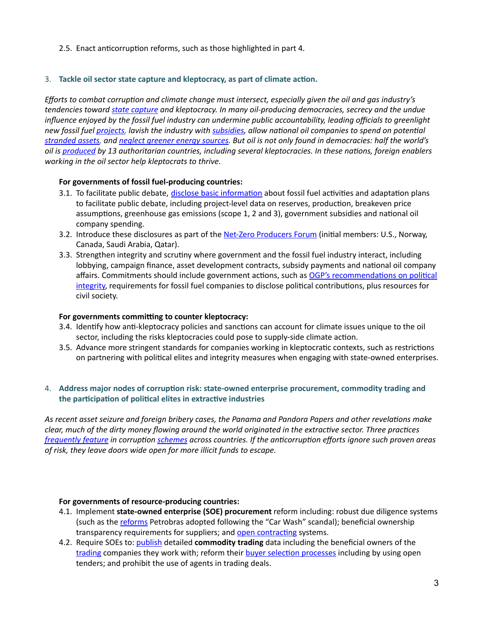2.5. Enact anticorruption reforms, such as those highlighted in part 4.

## 3. **Tackle oil sector state capture and kleptocracy, as part of climate action.**

*Efforts to combat corruption and climate change must intersect, especially given the oil and gas industry's tendencies toward[state capture](https://resourcegovernance.org/analysis-tools/publications/state-capture) and kleptocracy. In many oil-producing democracies, secrecy and the undue influence enjoyed by the fossil fuel industry can undermine public accountability, leading officials to greenlight new fossil fuel [projects,](https://resourcegovernance.org/analysis-tools/publications/risky-bet-national-oil-companies-energy-transition) lavish the industry with [subsidies,](https://www.imf.org/en/Topics/climate-change/energy-subsidies) allow national oil companies to spend on potential [stranded assets](https://resourcegovernance.org/analysis-tools/publications/risky-bet-national-oil-companies-energy-transition), and [neglect greener energy sources](https://resourcegovernance.org/blog/proof-politics-fossil-fuel-interests-and-domestic-energy-transitions). But oil is not only found in democracies: half the world's oil is [produced](https://www.bp.com/en/global/corporate/energy-economics/statistical-review-of-world-energy.html) by 13 authoritarian countries, including several kleptocracies. In these nations, foreign enablers working in the oil sector help kleptocrats to thrive.* 

## **For governments of fossil fuel-producing countries:**

- 3.1. To facilitate public debate, [disclose basic information](https://resourcegovernance.org/blog/IEA-ambitious-climate-scenario-underscores-need-more-transparency-fossil-fuel-projects) about fossil fuel activities and adaptation plans to facilitate public debate, including project-level data on reserves, production, breakeven price assumptions, greenhouse gas emissions (scope 1, 2 and 3), government subsidies and national oil company spending.
- 3.2. Introduce these disclosures as part of the [Net-Zero Producers Forum](https://www.energy.gov/articles/joint-statement-establishing-net-zero-producers-forum-between-energy-ministries-canada) (initial members: U.S., Norway, Canada, Saudi Arabia, Qatar).
- 3.3. Strengthen integrity and scrutiny where government and the fossil fuel industry interact, including lobbying, campaign finance, asset development contracts, subsidy payments and national oil company affairs. Commitments should include government actions, such as OGP's recommendations on political [integrity,](https://www.opengovpartnership.org/policy-area/elections-political-finance/) requirements for fossil fuel companies to disclose political contributions, plus resources for civil society.

## **For governments committing to counter kleptocracy:**

- 3.4. Identify how anti-kleptocracy policies and sanctions can account for climate issues unique to the oil sector, including the risks kleptocracies could pose to supply-side climate action.
- 3.5. Advance more stringent standards for companies working in kleptocratic contexts, such as restrictions on partnering with political elites and integrity measures when engaging with state-owned enterprises.

## 4. **Address major nodes of corruption risk: state-owned enterprise procurement, commodity trading and the participation of political elites in extractive industries**

*As recent asset seizure and foreign bribery cases, the Panama and Pandora Papers and other revelations make clear, much of the dirty money flowing around the world originated in the extractive sector. Three practices [frequently feature](https://resourcegovernance.org/analysis-tools/publications/twelve-red-flags-corruption-risks-award-extractive-sector-licenses-and) in corruption [schemes](https://www.amazon.com/Crude-Intentions-Corruption-Contaminates-World/dp/0190940700) across countries. If the anticorruption efforts ignore such proven areas of risk, they leave doors wide open for more illicit funds to escape.* 

## **For governments of resource-producing countries:**

- 4.1. Implement **state-owned enterprise (SOE) procurement** reform including: robust due diligence systems (such as the [reforms](https://petrobras.com.br/pt/quem-somos/perfil/compliance-etica-e-transparencia/) Petrobras adopted following the "Car Wash" scandal); beneficial ownership transparency requirements for suppliers; and [open contracting](https://www.opengovpartnership.org/policy-area/open-contracting/) systems.
- 4.2. Require SOEs to: [publish](https://eiti.org/document/transparency-in-first-trade) detailed **commodity trading** data including the beneficial owners of th[e](https://www.oecd.org/publications/typology-of-corruption-risks-in-commodity-trading-transactions-590e80e8-en.htm) [trading](https://www.oecd.org/publications/typology-of-corruption-risks-in-commodity-trading-transactions-590e80e8-en.htm) companies they work with; reform their [buyer selection processes](https://www.oecd-ilibrary.org/sites/a522e6c0-en/1/3/1/index.html?itemId=/content/publication/a522e6c0-en&_csp_=21e282308118ffe3e6b33603def96434&itemIGO=oecd&itemContentType=book) including by using open tenders; and prohibit the use of agents in trading deals.